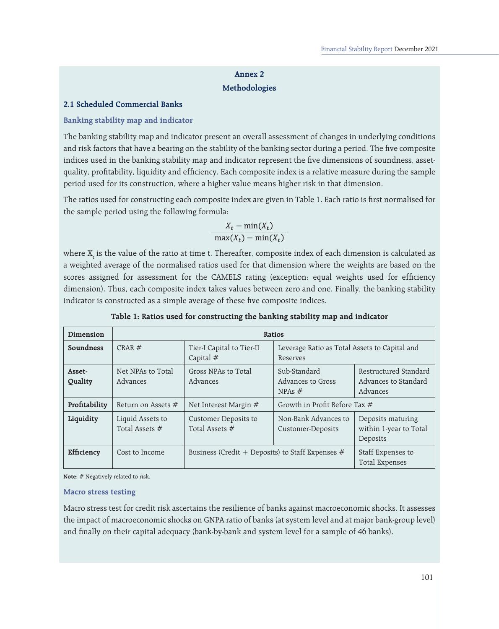## **Annex 2 Methodologies**

### **2.1 Scheduled Commercial Banks**

## **Banking stability map and indicator**

The banking stability map and indicator present an overall assessment of changes in underlying conditions and risk factors that have a bearing on the stability of the banking sector during a period. The five composite indices used in the banking stability map and indicator represent the five dimensions of soundness, assetquality, profitability, liquidity and efficiency. Each composite index is a relative measure during the sample period used for its construction, where a higher value means higher risk in that dimension.

The ratios used for constructing each composite index are given in Table 1. Each ratio is first normalised for the sample period using the following formula:

$$
\frac{X_t - \min(X_t)}{\max(X_t) - \min(X_t)}
$$

where  $\boldsymbol{\mathrm{X}}_\text{t}$  is the value of the ratio at time t. Thereafter, composite index of each dimension is calculated as a weighted average of the normalised ratios used for that dimension where the weights are based on the scores assigned for assessment for the CAMELS rating (exception: equal weights used for efficiency dimension). Thus, each composite index takes values between zero and one. Finally, the banking stability indicator is constructed as a simple average of these five composite indices.

| Dimension         | Ratios                             |                                                    |                                                           |                                                           |  |
|-------------------|------------------------------------|----------------------------------------------------|-----------------------------------------------------------|-----------------------------------------------------------|--|
| Soundness         | CRAR#                              | Tier-I Capital to Tier-II<br>Capital $#$           | Leverage Ratio as Total Assets to Capital and<br>Reserves |                                                           |  |
| Asset-<br>Quality | Net NPAs to Total<br>Advances      | Gross NPAs to Total<br>Advances                    | Sub-Standard<br>Advances to Gross<br>NPAs $#$             | Restructured Standard<br>Advances to Standard<br>Advances |  |
| Profitability     | Return on Assets $#$               | Net Interest Margin $#$                            | Growth in Profit Before Tax #                             |                                                           |  |
| Liquidity         | Liquid Assets to<br>Total Assets # | Customer Deposits to<br>Total Assets $#$           | Non-Bank Advances to<br>Customer-Deposits                 | Deposits maturing<br>within 1-year to Total<br>Deposits   |  |
| Efficiency        | Cost to Income                     | Business (Credit + Deposits) to Staff Expenses $#$ |                                                           | Staff Expenses to<br><b>Total Expenses</b>                |  |

**Table 1: Ratios used for constructing the banking stability map and indicator**

**Note**: # Negatively related to risk.

#### **Macro stress testing**

Macro stress test for credit risk ascertains the resilience of banks against macroeconomic shocks. It assesses the impact of macroeconomic shocks on GNPA ratio of banks (at system level and at major bank-group level) and finally on their capital adequacy (bank-by-bank and system level for a sample of 46 banks).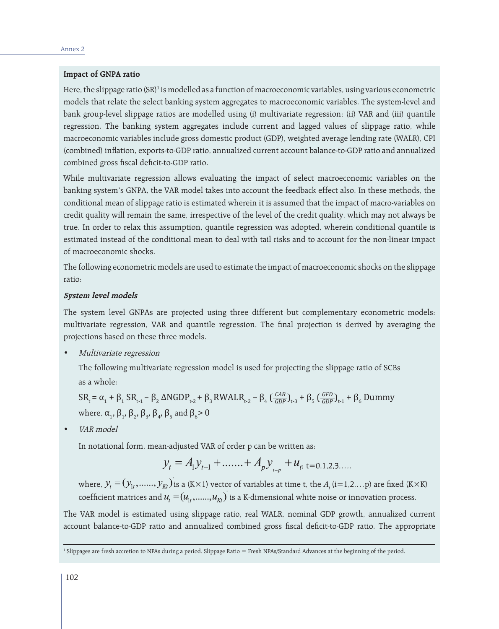#### **Impact of GNPA ratio**

Here, the slippage ratio (SR)<sup>1</sup> is modelled as a function of macroeconomic variables, using various econometric models that relate the select banking system aggregates to macroeconomic variables. The system-level and bank group-level slippage ratios are modelled using (i) multivariate regression; (ii) VAR and (iii) quantile regression. The banking system aggregates include current and lagged values of slippage ratio, while macroeconomic variables include gross domestic product (GDP), weighted average lending rate (WALR), CPI (combined) inflation, exports-to-GDP ratio, annualized current account balance-to-GDP ratio and annualized combined gross fiscal deficit-to-GDP ratio.

While multivariate regression allows evaluating the impact of select macroeconomic variables on the banking system's GNPA, the VAR model takes into account the feedback effect also. In these methods, the conditional mean of slippage ratio is estimated wherein it is assumed that the impact of macro-variables on credit quality will remain the same, irrespective of the level of the credit quality, which may not always be true. In order to relax this assumption, quantile regression was adopted, wherein conditional quantile is estimated instead of the conditional mean to deal with tail risks and to account for the non-linear impact of macroeconomic shocks.

The following econometric models are used to estimate the impact of macroeconomic shocks on the slippage ratio:

#### **System level models**

The system level GNPAs are projected using three different but complementary econometric models: multivariate regression, VAR and quantile regression. The final projection is derived by averaging the projections based on these three models.

Multivariate regression

The following multivariate regression model is used for projecting the slippage ratio of SCBs as a whole:

SR<sub>t</sub> = α<sub>1</sub> + β<sub>1</sub> SR<sub>t-1</sub> – β<sub>2</sub> ΔNGDP<sub>t-2</sub> + β<sub>3</sub> RWALR<sub>t-2</sub> – β<sub>4</sub> ( $\frac{CAB}{GDP}$ )<sub>t-3</sub> + β<sub>5</sub> ( $\frac{GFD}{GDP}$ )<sub>t-1</sub> + β<sub>6</sub> Dummy where,  $\alpha_1$ ,  $\beta_1$ ,  $\beta_2$ ,  $\beta_3$ ,  $\beta_4$ ,  $\beta_5$  and  $\beta_6$ > 0

VAR model

In notational form, mean-adjusted VAR of order p can be written as:

$$
y_t = A_1 y_{t-1} + \dots + A_p y_{t-p} + u_{t}, t = 0, 1, 2, 3, \dots
$$

where,  $\mathcal{Y}_t=(\mathcal{Y}_{1t},......,\mathcal{Y}_{Kt})$  is a (K×1) vector of variables at time t, the  $A_i$  (i=1,2,...p) are fixed (K×K) coefficient matrices and  $u_t = (u_1, \ldots, u_{kt})$  is a K-dimensional white noise or innovation process.

The VAR model is estimated using slippage ratio, real WALR, nominal GDP growth, annualized current account balance-to-GDP ratio and annualized combined gross fiscal deficit-to-GDP ratio. The appropriate

<sup>&</sup>lt;sup>1</sup> Slippages are fresh accretion to NPAs during a period. Slippage Ratio = Fresh NPAs/Standard Advances at the beginning of the period.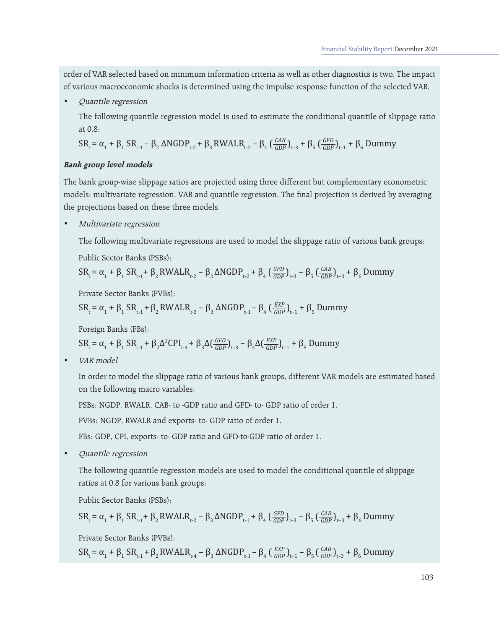order of VAR selected based on minimum information criteria as well as other diagnostics is two. The impact of various macroeconomic shocks is determined using the impulse response function of the selected VAR.

Quantile regression

The following quantile regression model is used to estimate the conditional quantile of slippage ratio at 0.8:

$$
SR_t = \alpha_1 + \beta_1 SR_{t-1} - \beta_2 ANGDP_{t-2} + \beta_3 RWALR_{t-2} - \beta_4 \left(\frac{CAB}{GDP}\right)_{t-3} + \beta_5 \left(\frac{GFD}{GDP}\right)_{t-1} + \beta_6 Dummy
$$

## **Bank group level models**

The bank group-wise slippage ratios are projected using three different but complementary econometric models: multivariate regression, VAR and quantile regression. The final projection is derived by averaging the projections based on these three models.

Multivariate regression

The following multivariate regressions are used to model the slippage ratio of various bank groups:

Public Sector Banks (PSBs):

$$
SR_t = \alpha_1 + \beta_1 SR_{t-1} + \beta_2 RWALR_{t-2} - \beta_3 \Delta NGDP_{t-2} + \beta_4 \left(\frac{GFD}{GDP}\right)_{t-3} - \beta_5 \left(\frac{CAB}{GDP}\right)_{t-3} + \beta_6 Dummy
$$

Private Sector Banks (PVBs):

$$
SR_t = \alpha_1 + \beta_1 SR_{t-1} + \beta_2 RWALR_{t-3} - \beta_3 \triangle NGDP_{t-1} - \beta_4 \left(\frac{EXP}{GDP}\right)_{t-1} + \beta_5 Dummy
$$

Foreign Banks (FBs):

SR<sub>t</sub> = α<sub>1</sub> + β<sub>1</sub> SR<sub>t-1</sub> + β<sub>2</sub>Δ<sup>2</sup>CPI<sub>t-4</sub> + β<sub>3</sub>Δ( $\frac{GFD}{GDP}$ )<sub>t-3</sub> – β<sub>4</sub>Δ( $\frac{EXP}{GDP}$ )<sub>t-1</sub> + β<sub>5</sub> Dummy

VAR model

In order to model the slippage ratio of various bank groups, different VAR models are estimated based on the following macro variables:

PSBs: NGDP, RWALR, CAB- to -GDP ratio and GFD- to- GDP ratio of order 1.

PVBs: NGDP, RWALR and exports- to- GDP ratio of order 1.

FBs: GDP, CPI, exports- to- GDP ratio and GFD-to-GDP ratio of order 1.

• Quantile regression

The following quantile regression models are used to model the conditional quantile of slippage ratios at 0.8 for various bank groups:

Public Sector Banks (PSBs):

$$
SR_t = \alpha_1 + \beta_1 SR_{t-1} + \beta_2 RWALR_{t-2} - \beta_3 \Delta NGDP_{t-1} + \beta_4 \left(\frac{GFD}{GDP}\right)_{t-3} - \beta_5 \left(\frac{CAB}{GDP}\right)_{t-3} + \beta_6 Dummy
$$

Private Sector Banks (PVBs):

SR<sub>t</sub> = α<sub>1</sub> + β<sub>1</sub> SR<sub>t-1</sub> + β<sub>2</sub> RWALR<sub>t-4</sub> – β<sub>3</sub> ΔNGDP<sub>t-1</sub> – β<sub>4</sub> ( $\frac{EXP}{GDP}$ )<sub>t-1</sub> – β<sub>5</sub> ( $\frac{CAB}{GDP}$ )<sub>t-3</sub> + β<sub>6</sub> Dummy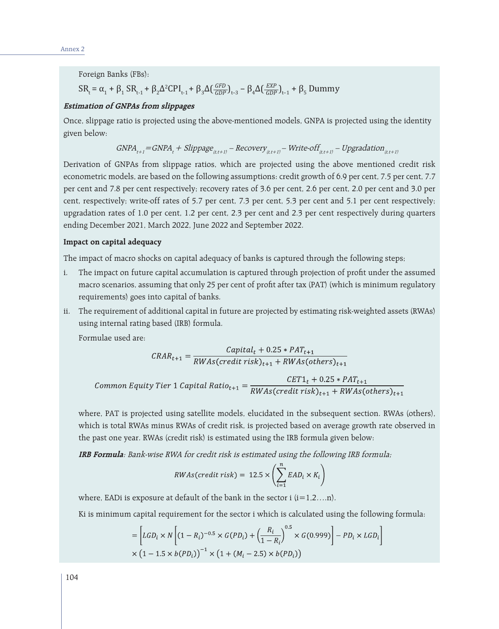Foreign Banks (FBs):

# $SR_t = \alpha_1 + \beta_1 SR_{t-1} + \beta_2 \Delta^2 CPI_{t-1} + \beta_3 \Delta(\frac{GFD}{GDP})_{t-3} - \beta_4 \Delta(\frac{EXP}{GDP})_{t-1} + \beta_5$  Dummy

## **Estimation of GNPAs from slippages**

Once, slippage ratio is projected using the above-mentioned models, GNPA is projected using the identity given below:

$$
GNPA_{t+1} = GNPA_t + Slippage_{(t,t+1)} - Recovery_{(t,t+1)} - Write-off_{(t,t+1)} - Upgradation_{(t,t+1)}
$$

Derivation of GNPAs from slippage ratios, which are projected using the above mentioned credit risk econometric models, are based on the following assumptions: credit growth of 6.9 per cent, 7.5 per cent, 7.7 per cent and 7.8 per cent respectively; recovery rates of 3.6 per cent, 2.6 per cent, 2.0 per cent and 3.0 per cent, respectively; write-off rates of 5.7 per cent, 7.3 per cent, 5.3 per cent and 5.1 per cent respectively; upgradation rates of 1.0 per cent, 1.2 per cent, 2.3 per cent and 2.3 per cent respectively during quarters ending December 2021, March 2022, June 2022 and September 2022.

#### **Impact on capital adequacy**

The impact of macro shocks on capital adequacy of banks is captured through the following steps;

- i. The impact on future capital accumulation is captured through projection of profit under the assumed macro scenarios, assuming that only 25 per cent of profit after tax (PAT) (which is minimum regulatory requirements) goes into capital of banks.
- ii. The requirement of additional capital in future are projected by estimating risk-weighted assets (RWAs) using internal rating based (IRB) formula.

Formulae used are:

$$
CRAR_{t+1} = \frac{Capital_t + 0.25 * PAT_{t+1}}{RWAs(credit risk)_{t+1} + RWAs(others)_{t+1}}
$$
  
Common Equity Tier 1 Capital Ratio<sub>t+1</sub> = 
$$
\frac{CET1_t + 0.25 * PAT_{t+1}}{RWAs(credit risk)_{t+1} + RWAs(others)_{t+1}}
$$

where, PAT is projected using satellite models, elucidated in the subsequent section. RWAs (others), which is total RWAs minus RWAs of credit risk, is projected based on average growth rate observed in the past one year. RWAs (credit risk) is estimated using the IRB formula given below:

**IRB Formula**: Bank-wise RWA for credit risk is estimated using the following IRB formula;

$$
RWAs(credit risk) = 12.5 \times \left(\sum_{i=1}^{n} EAD_i \times K_i\right)
$$

where, EADi is exposure at default of the bank in the sector i  $(i=1,2...n)$ .

Ki is minimum capital requirement for the sector i which is calculated using the following formula:

$$
= \left[ LGD_i \times N \left[ (1 - R_i)^{-0.5} \times G(PD_i) + \left( \frac{R_i}{1 - R_i} \right)^{0.5} \times G(0.999) \right] - PD_i \times LGD_i \right]
$$
  
 
$$
\times \left( 1 - 1.5 \times b(PD_i) \right)^{-1} \times \left( 1 + (M_i - 2.5) \times b(PD_i) \right)
$$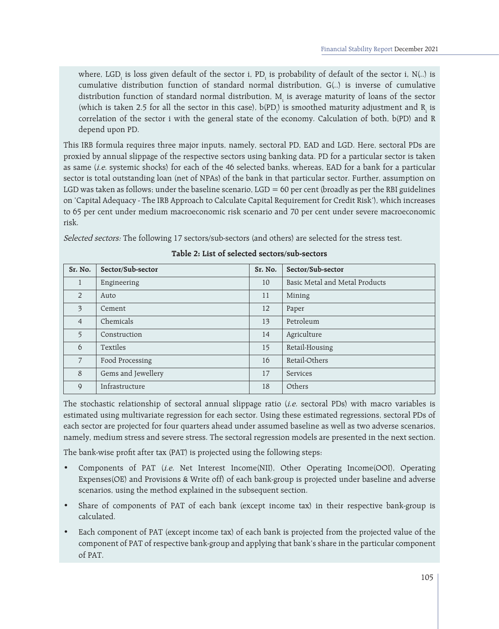where, LGD<sub>i</sub> is loss given default of the sector i, PD<sub>i</sub> is probability of default of the sector i, N(..) is cumulative distribution function of standard normal distribution, G(..) is inverse of cumulative distribution function of standard normal distribution,  $\mathrm{M_{i}}$  is average maturity of loans of the sector (which is taken 2.5 for all the sector in this case),  $b(PD_{i}^{\prime})$  is smoothed maturity adjustment and  $R_{i}^{\prime}$  is correlation of the sector i with the general state of the economy. Calculation of both, b(PD) and R depend upon PD.

This IRB formula requires three major inputs, namely, sectoral PD, EAD and LGD. Here, sectoral PDs are proxied by annual slippage of the respective sectors using banking data. PD for a particular sector is taken as same (*i.e.* systemic shocks) for each of the 46 selected banks, whereas, EAD for a bank for a particular sector is total outstanding loan (net of NPAs) of the bank in that particular sector. Further, assumption on LGD was taken as follows; under the baseline scenario, LGD =  $60$  per cent (broadly as per the RBI guidelines on 'Capital Adequacy - The IRB Approach to Calculate Capital Requirement for Credit Risk'), which increases to 65 per cent under medium macroeconomic risk scenario and 70 per cent under severe macroeconomic risk.

Selected sectors: The following 17 sectors/sub-sectors (and others) are selected for the stress test.

| Sr. No.                 | Sector/Sub-sector  | Sr. No. | Sector/Sub-sector              |
|-------------------------|--------------------|---------|--------------------------------|
| 1                       | Engineering        | 10      | Basic Metal and Metal Products |
| 2                       | Auto               | 11      | Mining                         |
| $\overline{\mathbf{3}}$ | Cement             | 12      | Paper                          |
| $\overline{4}$          | Chemicals          | 13      | Petroleum                      |
| 5 <sup>5</sup>          | Construction       | 14      | Agriculture                    |
| 6                       | Textiles           | 15      | Retail-Housing                 |
| $\overline{7}$          | Food Processing    | 16      | Retail-Others                  |
| 8                       | Gems and Jewellery | 17      | Services                       |
| 9                       | Infrastructure     | 18      | Others                         |

## **Table 2: List of selected sectors/sub-sectors**

The stochastic relationship of sectoral annual slippage ratio (*i.e.* sectoral PDs) with macro variables is estimated using multivariate regression for each sector. Using these estimated regressions, sectoral PDs of each sector are projected for four quarters ahead under assumed baseline as well as two adverse scenarios, namely, medium stress and severe stress. The sectoral regression models are presented in the next section.

The bank-wise profit after tax (PAT) is projected using the following steps:

- Components of PAT (i.e. Net Interest Income(NII), Other Operating Income(OOI), Operating Expenses(OE) and Provisions & Write off) of each bank-group is projected under baseline and adverse scenarios, using the method explained in the subsequent section.
- Share of components of PAT of each bank (except income tax) in their respective bank-group is calculated.
- Each component of PAT (except income tax) of each bank is projected from the projected value of the component of PAT of respective bank-group and applying that bank's share in the particular component of PAT.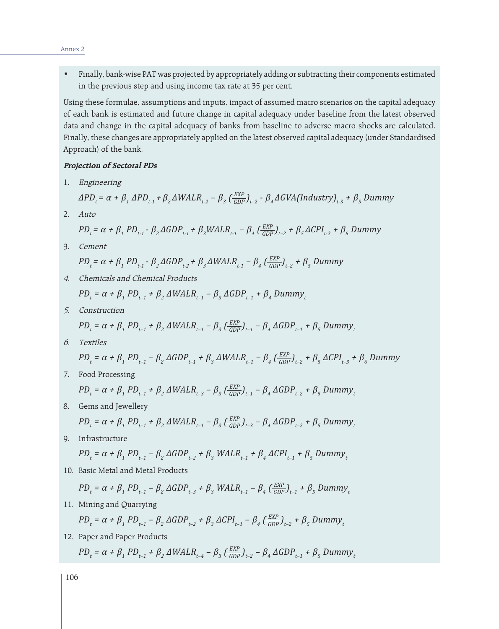- Annex 2
- • Finally, bank-wise PAT was projected by appropriately adding or subtracting their components estimated in the previous step and using income tax rate at 35 per cent.

Using these formulae, assumptions and inputs, impact of assumed macro scenarios on the capital adequacy of each bank is estimated and future change in capital adequacy under baseline from the latest observed data and change in the capital adequacy of banks from baseline to adverse macro shocks are calculated. Finally, these changes are appropriately applied on the latest observed capital adequacy (under Standardised Approach) of the bank.

#### **Projection of Sectoral PDs**

1. Engineering

$$
\Delta PD_t = \alpha + \beta_1 \Delta PD_{t-1} + \beta_2 \Delta WALR_{t-2} - \beta_3 (\frac{EXP}{GDP})_{t-2} - \beta_4 \Delta GVA (Industry)_{t-3} + \beta_5 Dummy
$$

2. Auto

$$
PD_t = \alpha + \beta_1 PD_{t-1} - \beta_2 \Delta GDP_{t-1} + \beta_3 WALR_{t-1} - \beta_4 \left(\frac{EXP}{GDP}\right)_{t-2} + \beta_5 \Delta CPI_{t-2} + \beta_6 Dummy
$$

3. Cement

 $PD_t = \alpha + \beta_1 PD_{t-1} - \beta_2 \Delta GDP_{t-2} + \beta_3 \Delta WALR_{t-1} - \beta_4 (\frac{EXP}{GDP})_{t-2} + \beta_5 Dumm$ 

- 4. Chemicals and Chemical Products  $PD_{t} = \alpha + \beta_{1} PD_{t-1} + \beta_{2} \Delta WALR_{t-1} - \beta_{3} \Delta GDP_{t-1} + \beta_{4} Dummy_{t}$
- 5. Construction

$$
PD_t = \alpha + \beta_1 PD_{t-1} + \beta_2 \Delta WALR_{t-1} - \beta_3 (\frac{EXP}{GDP})_{t-1} - \beta_4 \Delta GDP_{t-1} + \beta_5 Dummy_t
$$

6. Textiles

 $PD_t = \alpha + \beta_1 PD_{t-1} - \beta_2 \Delta GDP_{t-1} + \beta_3 \Delta WALR_{t-1} - \beta_4 (\frac{EXP}{GDP})_{t-2} + \beta_5 \Delta CPI_{t-3} + \beta_6 Dumm$ 

7. Food Processing

$$
PD_t = \alpha + \beta_1 PD_{t-1} + \beta_2 \Delta WALR_{t-3} - \beta_3 (\frac{EXP}{GDP})_{t-1} - \beta_4 \Delta GDP_{t-2} + \beta_5 Dummy_t
$$

8. Gems and Jewellery

$$
PD_t = \alpha + \beta_1 PD_{t-1} + \beta_2 \Delta WALR_{t-1} - \beta_3 (\frac{EXP}{GDP})_{t-3} - \beta_4 \Delta GDP_{t-2} + \beta_5 Dummy_t
$$

9. Infrastructure

$$
PD_t = \alpha + \beta_1 PD_{t-1} - \beta_2 \Delta GDP_{t-2} + \beta_3 WALR_{t-1} + \beta_4 \Delta CPI_{t-1} + \beta_5 Dummy_t
$$

10. Basic Metal and Metal Products

$$
PD_t = \alpha + \beta_1 PD_{t-1} - \beta_2 \Delta GDP_{t-3} + \beta_3 WALR_{t-1} - \beta_4 (\frac{EXP}{GDP})_{t-1} + \beta_5 Dummy_t
$$

11. Mining and Quarrying

$$
PD_t = \alpha + \beta_1 PD_{t-1} - \beta_2 \Delta GDP_{t-2} + \beta_3 \Delta CPL_{t-1} - \beta_4 (\frac{EXP}{GDP})_{t-2} + \beta_5 Dummy_t
$$

12. Paper and Paper Products

 $PD_t = \alpha + \beta_1 PD_{t-1} + \beta_2 \Delta WALR_{t-4} - \beta_3 (\frac{EXP}{GDP})_{t-2} - \beta_4 \Delta GDP_{t-1} + \beta_5 Dumm_y$ 

106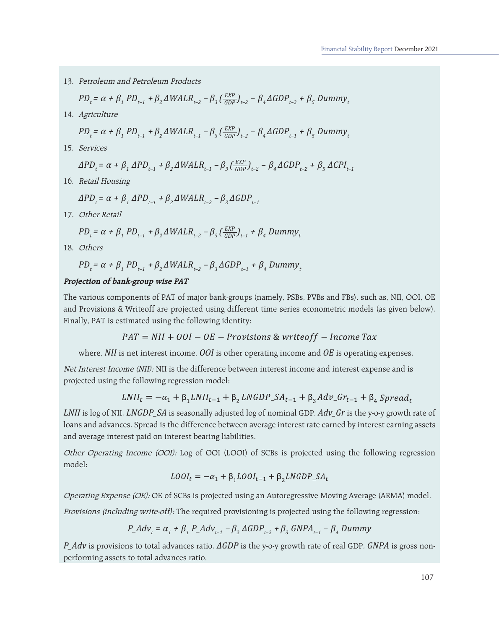13. Petroleum and Petroleum Products

$$
PD_t = \alpha + \beta_1 PD_{t-1} + \beta_2 \Delta WALR_{t-2} - \beta_3 \left(\frac{EXP}{GDP}\right)_{t-2} - \beta_4 \Delta GDP_{t-2} + \beta_5 Dumm_y
$$

14. Agriculture

$$
PD_t = \alpha + \beta_1 PD_{t-1} + \beta_2 \Delta WALR_{t-1} - \beta_3 (\frac{EXP}{GDP})_{t-2} - \beta_4 \Delta GDP_{t-1} + \beta_5 Dummy_t
$$

15. Services

$$
\Delta PD_{t} = \alpha + \beta_{1} \Delta PD_{t-1} + \beta_{2} \Delta WALR_{t-1} - \beta_{3} (\frac{EXP}{GDP})_{t-2} - \beta_{4} \Delta GDP_{t-2} + \beta_{5} \Delta CPL_{t-1}
$$

16. Retail Housing

$$
\Delta PD_t = \alpha + \beta_1 \Delta PD_{t-1} + \beta_2 \Delta WALR_{t-2} - \beta_3 \Delta GDP_{t-1}
$$

17. Other Retail

$$
PD_t = \alpha + \beta_1 PD_{t-1} + \beta_2 \Delta WALR_{t-2} - \beta_3 \left(\frac{EXP}{GDP}\right)_{t-1} + \beta_4 Dummy_t
$$

18. Others

$$
PD_t = \alpha + \beta_1 PD_{t-1} + \beta_2 \Delta WALR_{t-2} - \beta_3 \Delta GDP_{t-1} + \beta_4 Dumm y_t
$$

#### **Projection of bank-group wise PAT**

The various components of PAT of major bank-groups (namely, PSBs, PVBs and FBs), such as, NII, OOI, OE and Provisions & Writeoff are projected using different time series econometric models (as given below). Finally, PAT is estimated using the following identity:

 $PAT = NII + OOI - OE - Provisions$  & writeoff - Income Tax

where, *NII* is net interest income, *OOI* is other operating income and *OE* is operating expenses.

Net Interest Income (NII): NII is the difference between interest income and interest expense and is projected using the following regression model:

$$
LNII_t = -\alpha_1 + \beta_1 LNII_{t-1} + \beta_2 LNGDP\_SA_{t-1} + \beta_3 Adv\_Gr_{t-1} + \beta_4 Spread_t
$$

*LNII* is log of NII. *LNGDP\_SA* is seasonally adjusted log of nominal GDP. *Adv\_Gr* is the y-o-y growth rate of loans and advances. Spread is the difference between average interest rate earned by interest earning assets and average interest paid on interest bearing liabilities.

Other Operating Income (OOI): Log of OOI (LOOI) of SCBs is projected using the following regression model:

$$
LOOI_t = -\alpha_1 + \beta_1 LOOI_{t-1} + \beta_2 LNGDP\_SA_t
$$

Operating Expense (OE): OE of SCBs is projected using an Autoregressive Moving Average (ARMA) model.

Provisions (including write-off): The required provisioning is projected using the following regression:

*P\_Adv<sup>t</sup> = α<sup>1</sup> + β<sup>1</sup> P\_Advt–1 – β<sup>2</sup> ΔGDPt–2 + β<sup>3</sup> GNPAt–1 – β<sup>4</sup> Dummy*

*P\_Adv* is provisions to total advances ratio. *ΔGDP* is the y-o-y growth rate of real GDP. *GNPA* is gross nonperforming assets to total advances ratio.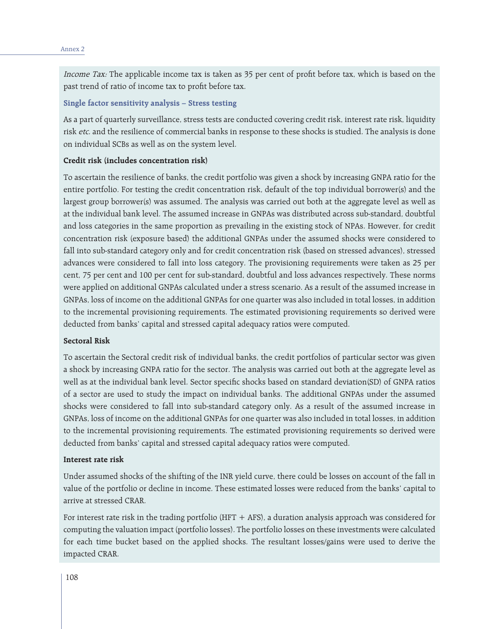Income Tax: The applicable income tax is taken as 35 per cent of profit before tax, which is based on the past trend of ratio of income tax to profit before tax.

#### **Single factor sensitivity analysis – Stress testing**

As a part of quarterly surveillance, stress tests are conducted covering credit risk, interest rate risk, liquidity risk etc. and the resilience of commercial banks in response to these shocks is studied. The analysis is done on individual SCBs as well as on the system level.

#### **Credit risk (includes concentration risk)**

To ascertain the resilience of banks, the credit portfolio was given a shock by increasing GNPA ratio for the entire portfolio. For testing the credit concentration risk, default of the top individual borrower(s) and the largest group borrower(s) was assumed. The analysis was carried out both at the aggregate level as well as at the individual bank level. The assumed increase in GNPAs was distributed across sub-standard, doubtful and loss categories in the same proportion as prevailing in the existing stock of NPAs. However, for credit concentration risk (exposure based) the additional GNPAs under the assumed shocks were considered to fall into sub-standard category only and for credit concentration risk (based on stressed advances), stressed advances were considered to fall into loss category. The provisioning requirements were taken as 25 per cent, 75 per cent and 100 per cent for sub-standard, doubtful and loss advances respectively. These norms were applied on additional GNPAs calculated under a stress scenario. As a result of the assumed increase in GNPAs, loss of income on the additional GNPAs for one quarter was also included in total losses, in addition to the incremental provisioning requirements. The estimated provisioning requirements so derived were deducted from banks' capital and stressed capital adequacy ratios were computed.

#### **Sectoral Risk**

To ascertain the Sectoral credit risk of individual banks, the credit portfolios of particular sector was given a shock by increasing GNPA ratio for the sector. The analysis was carried out both at the aggregate level as well as at the individual bank level. Sector specific shocks based on standard deviation(SD) of GNPA ratios of a sector are used to study the impact on individual banks. The additional GNPAs under the assumed shocks were considered to fall into sub-standard category only. As a result of the assumed increase in GNPAs, loss of income on the additional GNPAs for one quarter was also included in total losses, in addition to the incremental provisioning requirements. The estimated provisioning requirements so derived were deducted from banks' capital and stressed capital adequacy ratios were computed.

#### **Interest rate risk**

Under assumed shocks of the shifting of the INR yield curve, there could be losses on account of the fall in value of the portfolio or decline in income. These estimated losses were reduced from the banks' capital to arrive at stressed CRAR.

For interest rate risk in the trading portfolio (HFT  $+$  AFS), a duration analysis approach was considered for computing the valuation impact (portfolio losses). The portfolio losses on these investments were calculated for each time bucket based on the applied shocks. The resultant losses/gains were used to derive the impacted CRAR.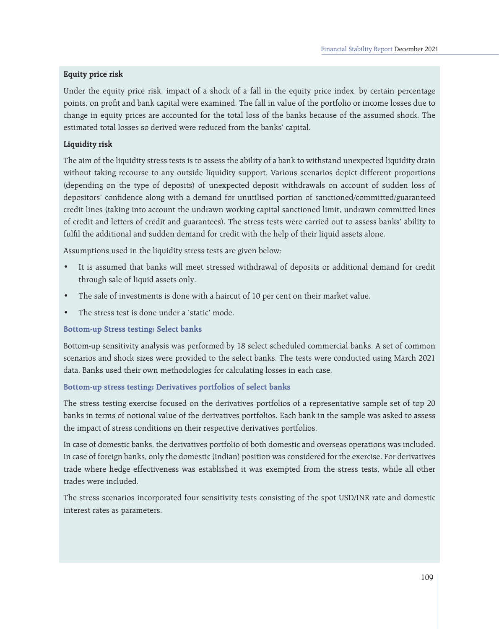## **Equity price risk**

Under the equity price risk, impact of a shock of a fall in the equity price index, by certain percentage points, on profit and bank capital were examined. The fall in value of the portfolio or income losses due to change in equity prices are accounted for the total loss of the banks because of the assumed shock. The estimated total losses so derived were reduced from the banks' capital.

### **Liquidity risk**

The aim of the liquidity stress tests is to assess the ability of a bank to withstand unexpected liquidity drain without taking recourse to any outside liquidity support. Various scenarios depict different proportions (depending on the type of deposits) of unexpected deposit withdrawals on account of sudden loss of depositors' confidence along with a demand for unutilised portion of sanctioned/committed/guaranteed credit lines (taking into account the undrawn working capital sanctioned limit, undrawn committed lines of credit and letters of credit and guarantees). The stress tests were carried out to assess banks' ability to fulfil the additional and sudden demand for credit with the help of their liquid assets alone.

Assumptions used in the liquidity stress tests are given below:

- It is assumed that banks will meet stressed withdrawal of deposits or additional demand for credit through sale of liquid assets only.
- The sale of investments is done with a haircut of 10 per cent on their market value.
- The stress test is done under a 'static' mode.

#### **Bottom-up Stress testing: Select banks**

Bottom-up sensitivity analysis was performed by 18 select scheduled commercial banks. A set of common scenarios and shock sizes were provided to the select banks. The tests were conducted using March 2021 data. Banks used their own methodologies for calculating losses in each case.

#### **Bottom-up stress testing: Derivatives portfolios of select banks**

The stress testing exercise focused on the derivatives portfolios of a representative sample set of top 20 banks in terms of notional value of the derivatives portfolios. Each bank in the sample was asked to assess the impact of stress conditions on their respective derivatives portfolios.

In case of domestic banks, the derivatives portfolio of both domestic and overseas operations was included. In case of foreign banks, only the domestic (Indian) position was considered for the exercise. For derivatives trade where hedge effectiveness was established it was exempted from the stress tests, while all other trades were included.

The stress scenarios incorporated four sensitivity tests consisting of the spot USD/INR rate and domestic interest rates as parameters.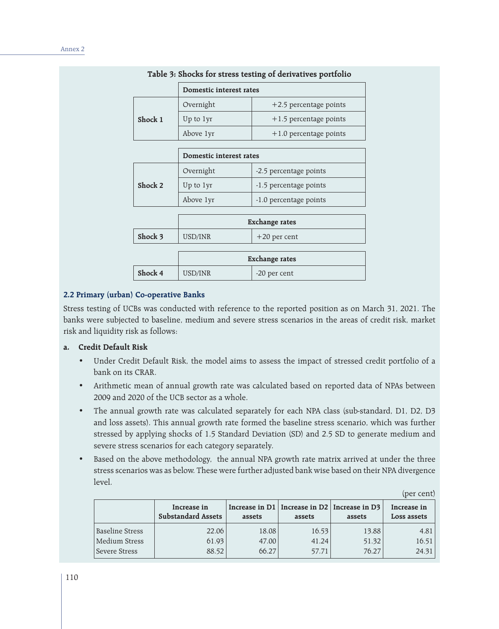|         | Domestic interest rates |                          |  |
|---------|-------------------------|--------------------------|--|
|         | Overnight               | $+2.5$ percentage points |  |
| Shock 1 | Up to 1yr               | $+1.5$ percentage points |  |
|         | Above 1yr               | $+1.0$ percentage points |  |

#### **Table 3: Shocks for stress testing of derivatives portfolio**

|         | Domestic interest rates |                        |  |
|---------|-------------------------|------------------------|--|
| Shock 2 | Overnight               | -2.5 percentage points |  |
|         | Up to 1yr               | -1.5 percentage points |  |
|         | Above 1yr               | -1.0 percentage points |  |
|         |                         |                        |  |

|         | <b>Exchange rates</b> |                |  |
|---------|-----------------------|----------------|--|
| Shock 3 | USD/INR               | $+20$ per cent |  |
|         |                       |                |  |
|         | <b>Exchange rates</b> |                |  |
| Shock 4 | USD/INR               | -20 per cent   |  |

## **2.2 Primary (urban) Co-operative Banks**

Stress testing of UCBs was conducted with reference to the reported position as on March 31, 2021. The banks were subjected to baseline, medium and severe stress scenarios in the areas of credit risk, market risk and liquidity risk as follows:

## **a. Credit Default Risk**

- • Under Credit Default Risk, the model aims to assess the impact of stressed credit portfolio of a bank on its CRAR.
- Arithmetic mean of annual growth rate was calculated based on reported data of NPAs between 2009 and 2020 of the UCB sector as a whole.
- The annual growth rate was calculated separately for each NPA class (sub-standard, D1, D2, D3 and loss assets). This annual growth rate formed the baseline stress scenario, which was further stressed by applying shocks of 1.5 Standard Deviation (SD) and 2.5 SD to generate medium and severe stress scenarios for each category separately.
- Based on the above methodology, the annual NPA growth rate matrix arrived at under the three stress scenarios was as below. These were further adjusted bank wise based on their NPA divergence level.

|                        | Increase in<br><b>Substandard Assets</b> | assets | Increase in $D1$   Increase in $D2$   Increase in $D3$<br>assets | assets | IDET CEITI<br>Increase in<br>Loss assets |
|------------------------|------------------------------------------|--------|------------------------------------------------------------------|--------|------------------------------------------|
| <b>Baseline Stress</b> | 22.06                                    | 18.08  | 16.53                                                            | 13.88  | 4.81                                     |
| Medium Stress          | 61.93                                    | 47.00  | 41.24                                                            | 51.32  | 16.51                                    |
| Severe Stress          | 88.52                                    | 66.27  | 57.71                                                            | 76.27  | 24.31                                    |

(per cent)

110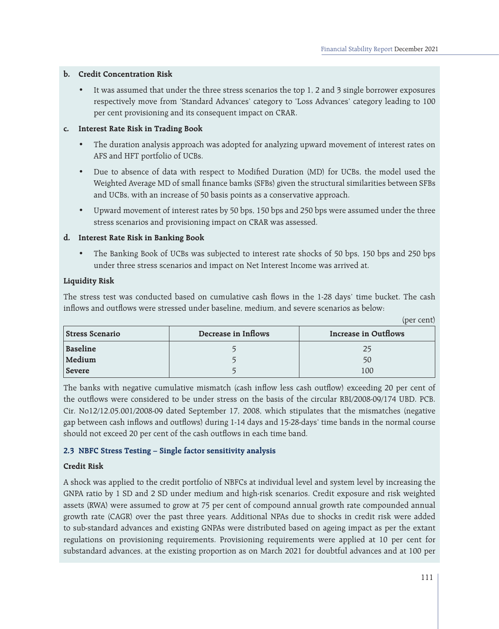## **b. Credit Concentration Risk**

• It was assumed that under the three stress scenarios the top 1, 2 and 3 single borrower exposures respectively move from 'Standard Advances' category to 'Loss Advances' category leading to 100 per cent provisioning and its consequent impact on CRAR.

## **c. Interest Rate Risk in Trading Book**

- The duration analysis approach was adopted for analyzing upward movement of interest rates on AFS and HFT portfolio of UCBs.
- Due to absence of data with respect to Modified Duration (MD) for UCBs, the model used the Weighted Average MD of small finance bamks (SFBs) given the structural similarities between SFBs and UCBs, with an increase of 50 basis points as a conservative approach.
- Upward movement of interest rates by 50 bps, 150 bps and 250 bps were assumed under the three stress scenarios and provisioning impact on CRAR was assessed.

## **d. Interest Rate Risk in Banking Book**

The Banking Book of UCBs was subjected to interest rate shocks of 50 bps, 150 bps and 250 bps under three stress scenarios and impact on Net Interest Income was arrived at.

## **Liquidity Risk**

The stress test was conducted based on cumulative cash flows in the 1-28 days' time bucket. The cash inflows and outflows were stressed under baseline, medium, and severe scenarios as below:

|                        |                     | (per cent)           |
|------------------------|---------------------|----------------------|
| <b>Stress Scenario</b> | Decrease in Inflows | Increase in Outflows |
| Baseline               |                     | 25                   |
| Medium                 |                     | 50                   |
| Severe                 |                     | 100                  |

The banks with negative cumulative mismatch (cash inflow less cash outflow) exceeding 20 per cent of the outflows were considered to be under stress on the basis of the circular RBI/2008-09/174 UBD. PCB. Cir. No12/12.05.001/2008-09 dated September 17, 2008, which stipulates that the mismatches (negative gap between cash inflows and outflows) during 1-14 days and 15-28-days' time bands in the normal course should not exceed 20 per cent of the cash outflows in each time band.

## **2.3 NBFC Stress Testing – Single factor sensitivity analysis**

## **Credit Risk**

A shock was applied to the credit portfolio of NBFCs at individual level and system level by increasing the GNPA ratio by 1 SD and 2 SD under medium and high-risk scenarios. Credit exposure and risk weighted assets (RWA) were assumed to grow at 75 per cent of compound annual growth rate compounded annual growth rate (CAGR) over the past three years. Additional NPAs due to shocks in credit risk were added to sub-standard advances and existing GNPAs were distributed based on ageing impact as per the extant regulations on provisioning requirements. Provisioning requirements were applied at 10 per cent for substandard advances, at the existing proportion as on March 2021 for doubtful advances and at 100 per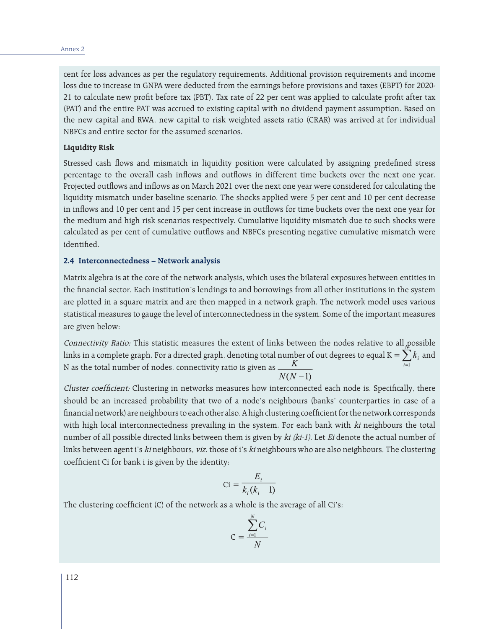#### Annex 2

cent for loss advances as per the regulatory requirements. Additional provision requirements and income loss due to increase in GNPA were deducted from the earnings before provisions and taxes (EBPT) for 2020- 21 to calculate new profit before tax (PBT). Tax rate of 22 per cent was applied to calculate profit after tax (PAT) and the entire PAT was accrued to existing capital with no dividend payment assumption. Based on the new capital and RWA, new capital to risk weighted assets ratio (CRAR) was arrived at for individual NBFCs and entire sector for the assumed scenarios.

#### **Liquidity Risk**

Stressed cash flows and mismatch in liquidity position were calculated by assigning predefined stress percentage to the overall cash inflows and outflows in different time buckets over the next one year. Projected outflows and inflows as on March 2021 over the next one year were considered for calculating the liquidity mismatch under baseline scenario. The shocks applied were 5 per cent and 10 per cent decrease in inflows and 10 per cent and 15 per cent increase in outflows for time buckets over the next one year for the medium and high risk scenarios respectively. Cumulative liquidity mismatch due to such shocks were calculated as per cent of cumulative outflows and NBFCs presenting negative cumulative mismatch were identified.

#### **2.4 Interconnectedness – Network analysis**

Matrix algebra is at the core of the network analysis, which uses the bilateral exposures between entities in the financial sector. Each institution's lendings to and borrowings from all other institutions in the system are plotted in a square matrix and are then mapped in a network graph. The network model uses various statistical measures to gauge the level of interconnectedness in the system. Some of the important measures are given below:

Connectivity Ratio: This statistic measures the extent of links between the nodes relative to all possible links in a complete graph. For a directed graph, denoting total number of out degrees to equal K  $= \sum k_i$  and N as the total number of nodes, connectivity ratio is given as  $\_\_\_\_\_\_n$ 

Cluster coefficient: Clustering in networks measures how interconnected each node is. Specifically, there should be an increased probability that two of a node's neighbours (banks' counterparties in case of a financial network) are neighbours to each other also. A high clustering coefficient for the network corresponds with high local interconnectedness prevailing in the system. For each bank with  $ki$  neighbours the total number of all possible directed links between them is given by ki (ki-1). Let Ei denote the actual number of links between agent i's ki neighbours, viz. those of i's ki neighbours who are also neighbours. The clustering coefficient Ci for bank i is given by the identity:

$$
\text{Ci} = \frac{E_i}{k_i(k_i - 1)}
$$

The clustering coefficient (C) of the network as a whole is the average of all Ci's:

$$
C = \frac{\sum_{i=1}^{N} C_i}{N}
$$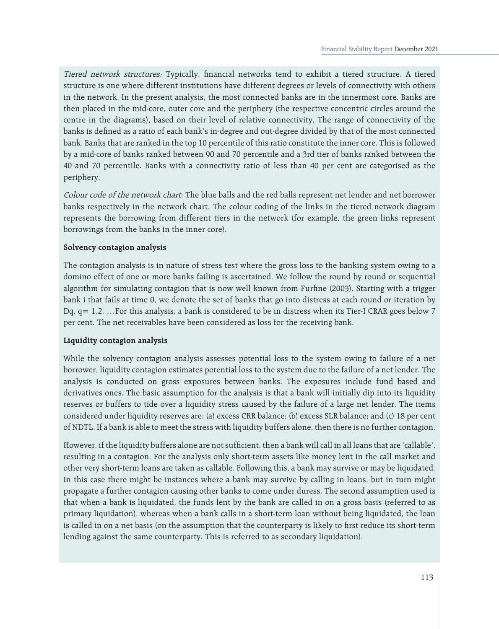Tiered network structures: Typically, financial networks tend to exhibit a tiered structure. A tiered structure is one where different institutions have different degrees or levels of connectivity with others in the network. In the present analysis, the most connected banks are in the innermost core. Banks are then placed in the mid-core, outer core and the periphery (the respective concentric circles around the centre in the diagrams), based on their level of relative connectivity. The range of connectivity of the banks is defined as a ratio of each bank's in-degree and out-degree divided by that of the most connected bank. Banks that are ranked in the top 10 percentile of this ratio constitute the inner core. This is followed by a mid-core of banks ranked between 90 and 70 percentile and a 3rd tier of banks ranked between the 40 and 70 percentile. Banks with a connectivity ratio of less than 40 per cent are categorised as the periphery.

Colour code of the network chart: The blue balls and the red balls represent net lender and net borrower banks respectively in the network chart. The colour coding of the links in the tiered network diagram represents the borrowing from different tiers in the network (for example, the green links represent borrowings from the banks in the inner core).

#### **Solvency contagion analysis**

The contagion analysis is in nature of stress test where the gross loss to the banking system owing to a domino effect of one or more banks failing is ascertained. We follow the round by round or sequential algorithm for simulating contagion that is now well known from Furfine (2003). Starting with a trigger bank i that fails at time 0, we denote the set of banks that go into distress at each round or iteration by Dq, q= 1,2, …For this analysis, a bank is considered to be in distress when its Tier-I CRAR goes below 7 per cent. The net receivables have been considered as loss for the receiving bank.

#### **Liquidity contagion analysis**

While the solvency contagion analysis assesses potential loss to the system owing to failure of a net borrower, liquidity contagion estimates potential loss to the system due to the failure of a net lender. The analysis is conducted on gross exposures between banks. The exposures include fund based and derivatives ones. The basic assumption for the analysis is that a bank will initially dip into its liquidity reserves or buffers to tide over a liquidity stress caused by the failure of a large net lender. The items considered under liquidity reserves are: (a) excess CRR balance; (b) excess SLR balance; and (c) 18 per cent of NDTL. If a bank is able to meet the stress with liquidity buffers alone, then there is no further contagion.

However, if the liquidity buffers alone are not sufficient, then a bank will call in all loans that are 'callable', resulting in a contagion. For the analysis only short-term assets like money lent in the call market and other very short-term loans are taken as callable. Following this, a bank may survive or may be liquidated. In this case there might be instances where a bank may survive by calling in loans, but in turn might propagate a further contagion causing other banks to come under duress. The second assumption used is that when a bank is liquidated, the funds lent by the bank are called in on a gross basis (referred to as primary liquidation), whereas when a bank calls in a short-term loan without being liquidated, the loan is called in on a net basis (on the assumption that the counterparty is likely to first reduce its short-term lending against the same counterparty. This is referred to as secondary liquidation).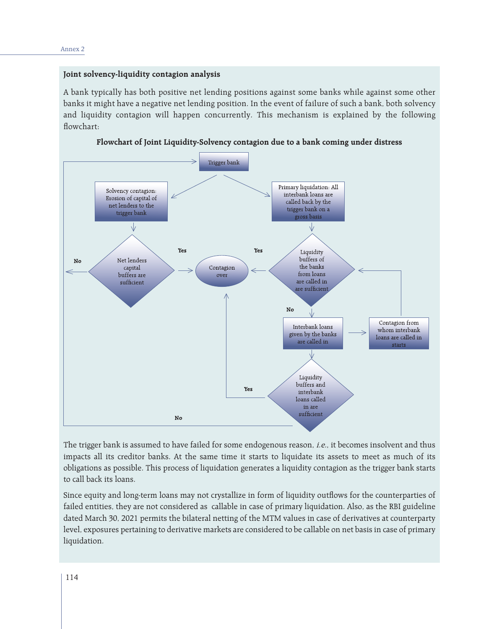## **Joint solvency-liquidity contagion analysis**

A bank typically has both positive net lending positions against some banks while against some other banks it might have a negative net lending position. In the event of failure of such a bank, both solvency and liquidity contagion will happen concurrently. This mechanism is explained by the following flowchart:

**Flowchart of Joint Liquidity-Solvency contagion due to a bank coming under distress**



The trigger bank is assumed to have failed for some endogenous reason, *i.e.*, it becomes insolvent and thus impacts all its creditor banks. At the same time it starts to liquidate its assets to meet as much of its obligations as possible. This process of liquidation generates a liquidity contagion as the trigger bank starts to call back its loans.

Since equity and long-term loans may not crystallize in form of liquidity outflows for the counterparties of failed entities, they are not considered as callable in case of primary liquidation. Also, as the RBI guideline dated March 30, 2021 permits the bilateral netting of the MTM values in case of derivatives at counterparty level, exposures pertaining to derivative markets are considered to be callable on net basis in case of primary liquidation.